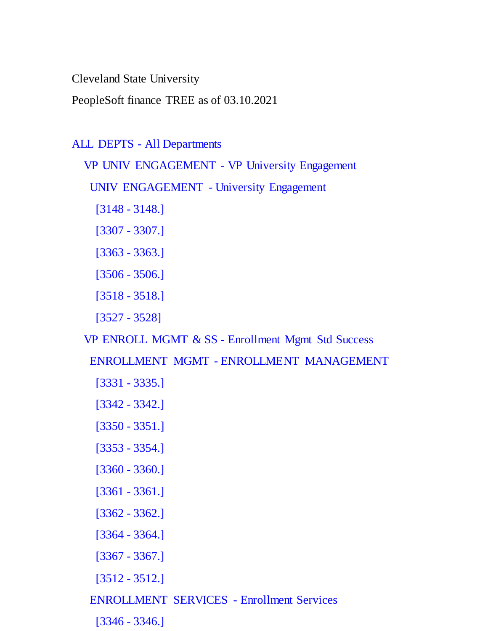Cleveland State University

PeopleSoft finance TREE as of 03.10.2021

```
ALL DEPTS - All Departments
```
VP UNIV ENGAGEMENT - VP University Engagement

UNIV ENGAGEMENT - University Engagement

- [3148 3148.]
- [3307 3307.]
- [3363 3363.]
- [3506 3506.]
- [3518 3518.]
- [3527 3528]

VP ENROLL MGMT & SS - Enrollment Mgmt Std Success

ENROLLMENT MGMT - ENROLLMENT MANAGEMENT

- [3331 3335.]
- [3342 3342.]
- [3350 3351.]
- [3353 3354.]
- [3360 3360.]
- [3361 3361.]
- [3362 3362.]
- [3364 3364.]
- [3367 3367.]
- [3512 3512.]
- ENROLLMENT SERVICES Enrollment Services
	- [3346 3346.]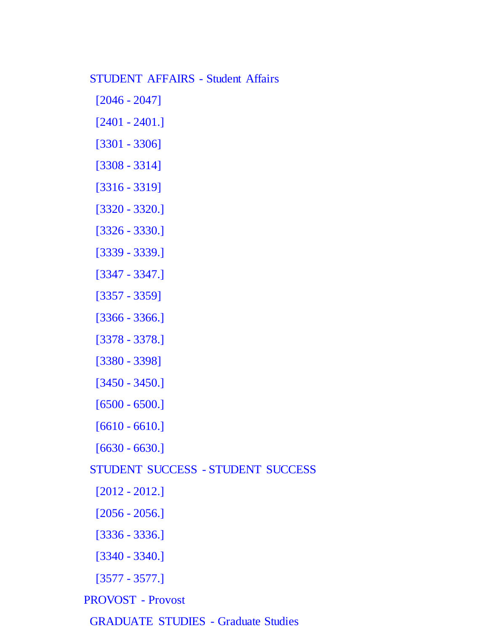#### STUDENT AFFAIRS - Student Affairs

- [2046 2047]
- [2401 2401.]
- [3301 3306]
- [3308 3314]
- [3316 3319]
- [3320 3320.]
- [3326 3330.]
- [3339 3339.]
- [3347 3347.]
- [3357 3359]
- [3366 3366.]
- [3378 3378.]
- [3380 3398]
- [3450 3450.]
- [6500 6500.]
- [6610 6610.]
- [6630 6630.]
- STUDENT SUCCESS STUDENT SUCCESS
	- [2012 2012.]
	- [2056 2056.]
	- [3336 3336.]
	- [3340 3340.]
	- [3577 3577.]
- PROVOST Provost
- GRADUATE STUDIES Graduate Studies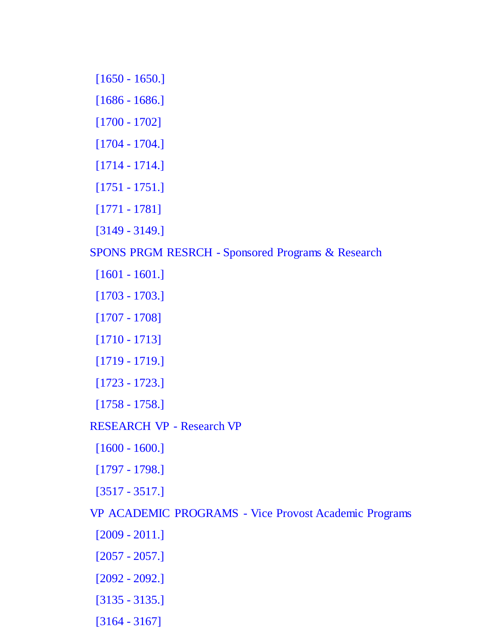- [1650 1650.]
- [1686 1686.]
- [1700 1702]
- [1704 1704.]
- [1714 1714.]
- [1751 1751.]
- [1771 1781]
- [3149 3149.]

SPONS PRGM RESRCH - Sponsored Programs & Research

- [1601 1601.]
- [1703 1703.]
- [1707 1708]
- [1710 1713]
- [1719 1719.]
- [1723 1723.]
- [1758 1758.]
- RESEARCH VP Research VP
- [1600 1600.]
- [1797 1798.]
- [3517 3517.]

VP ACADEMIC PROGRAMS - Vice Provost Academic Programs

- [2009 2011.]
- [2057 2057.]
- [2092 2092.]
- [3135 3135.]
- [3164 3167]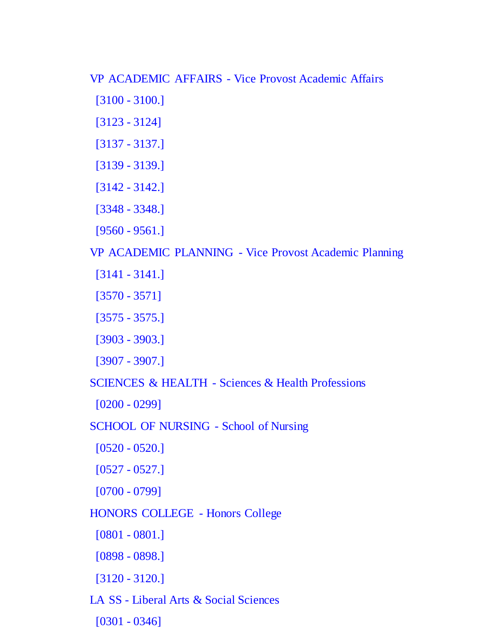VP ACADEMIC AFFAIRS - Vice Provost Academic Affairs

- [3100 3100.]
- [3123 3124]
- [3137 3137.]
- [3139 3139.]
- [3142 3142.]
- [3348 3348.]
- [9560 9561.]

VP ACADEMIC PLANNING - Vice Provost Academic Planning

- [3141 3141.]
- [3570 3571]
- [3575 3575.]
- [3903 3903.]
- [3907 3907.]

SCIENCES & HEALTH - Sciences & Health Professions

```
 [0200 - 0299]
```
SCHOOL OF NURSING - School of Nursing

```
 [0520 - 0520.]
```
[0527 - 0527.]

[0700 - 0799]

- HONORS COLLEGE Honors College
	- [0801 0801.]
	- [0898 0898.]
	- [3120 3120.]
- LA SS Liberal Arts & Social Sciences
- [0301 0346]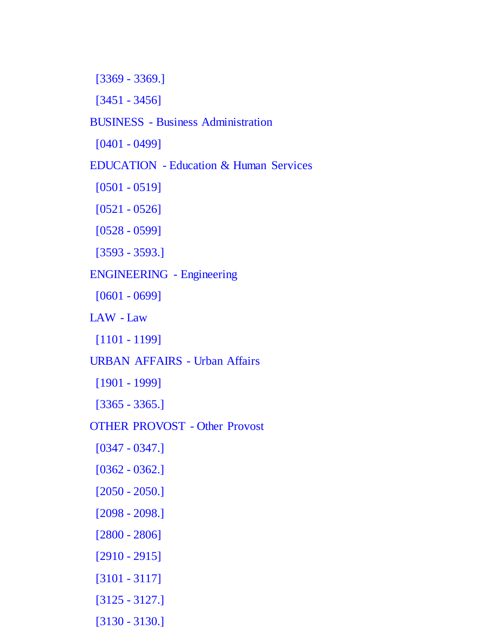[3369 - 3369.]

[3451 - 3456]

### BUSINESS - Business Administration

[0401 - 0499]

### EDUCATION - Education & Human Services

[0501 - 0519]

[0521 - 0526]

[0528 - 0599]

[3593 - 3593.]

ENGINEERING - Engineering

[0601 - 0699]

LAW - Law

[1101 - 1199]

URBAN AFFAIRS - Urban Affairs

[1901 - 1999]

[3365 - 3365.]

OTHER PROVOST - Other Provost

[0347 - 0347.]

[0362 - 0362.]

[2050 - 2050.]

[2098 - 2098.]

[2800 - 2806]

[2910 - 2915]

[3101 - 3117]

[3125 - 3127.]

[3130 - 3130.]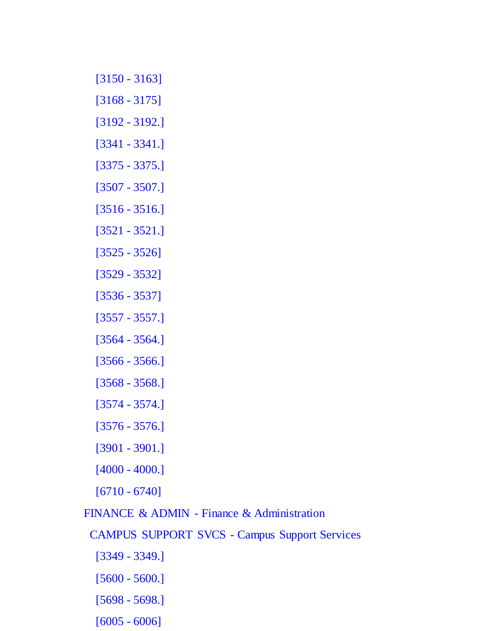- [3150 3163]
- [3168 3175]
- [3192 3192.]
- [3341 3341.]
- [3375 3375.]
- [3507 3507.]
- [3516 3516.]
- [3521 3521.]
- [3525 3526]
- [3529 3532]
- [3536 3537]
- [3557 3557.]
- [3564 3564.]
- [3566 3566.]
- [3568 3568.]
- [3574 3574.]
- [3576 3576.]
- [3901 3901.]
- [4000 4000.]
- [6710 6740]

# FINANCE & ADMIN - Finance & Administration

- CAMPUS SUPPORT SVCS Campus Support Services
	- [3349 3349.]
	- [5600 5600.]
	- [5698 5698.]
	- [6005 6006]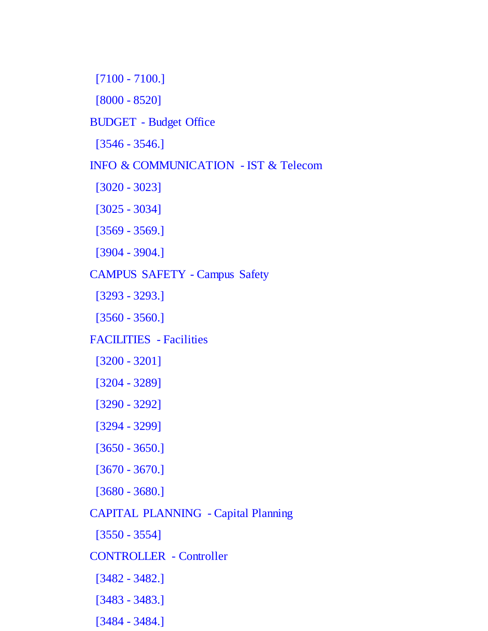[7100 - 7100.]

[8000 - 8520]

#### BUDGET - Budget Office

[3546 - 3546.]

### INFO & COMMUNICATION - IST & Telecom

[3020 - 3023]

[3025 - 3034]

[3569 - 3569.]

[3904 - 3904.]

#### CAMPUS SAFETY - Campus Safety

[3293 - 3293.]

[3560 - 3560.]

### FACILITIES - Facilities

[3200 - 3201]

[3204 - 3289]

[3290 - 3292]

[3294 - 3299]

[3650 - 3650.]

[3670 - 3670.]

[3680 - 3680.]

# CAPITAL PLANNING - Capital Planning

[3550 - 3554]

# CONTROLLER - Controller

[3482 - 3482.]

[3483 - 3483.]

[3484 - 3484.]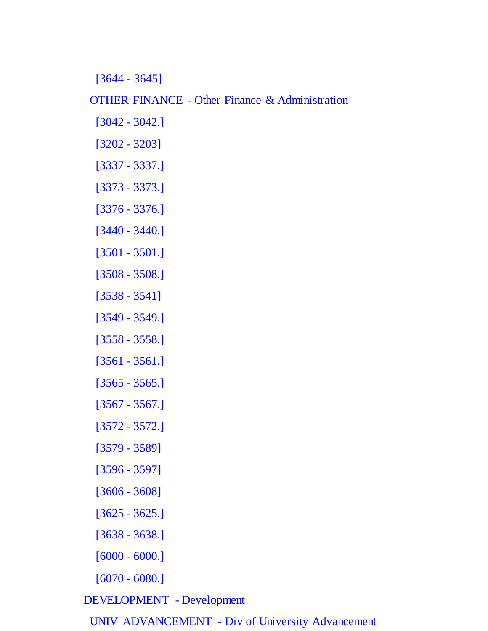[3644 - 3645]

OTHER FINANCE - Other Finance & Administration

- [3042 3042.]
- [3202 3203]
- [3337 3337.]
- [3373 3373.]
- [3376 3376.]
- [3440 3440.]
- [3501 3501.]
- [3508 3508.]
- [3538 3541]
- [3549 3549.]
- [3558 3558.]
- [3561 3561.]
- [3565 3565.]
- [3567 3567.]
- [3572 3572.]
- [3579 3589]
- [3596 3597]
- [3606 3608]
- [3625 3625.]
- [3638 3638.]
- [6000 6000.]
- [6070 6080.]

DEVELOPMENT - Development

UNIV ADVANCEMENT - Div of University Advancement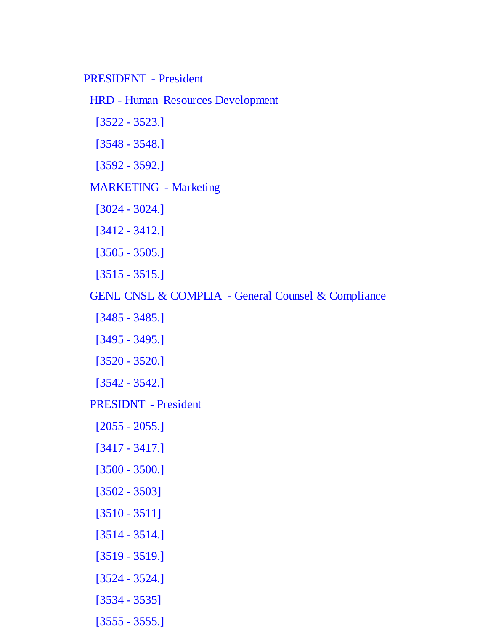#### PRESIDENT - President

HRD - Human Resources Development

[3522 - 3523.]

[3548 - 3548.]

[3592 - 3592.]

### MARKETING - Marketing

[3024 - 3024.]

[3412 - 3412.]

[3505 - 3505.]

[3515 - 3515.]

GENL CNSL & COMPLIA - General Counsel & Compliance

[3485 - 3485.]

[3495 - 3495.]

[3520 - 3520.]

[3542 - 3542.]

PRESIDNT - President

[2055 - 2055.]

[3417 - 3417.]

[3500 - 3500.]

[3502 - 3503]

[3510 - 3511]

[3514 - 3514.]

[3519 - 3519.]

[3524 - 3524.]

[3534 - 3535]

[3555 - 3555.]